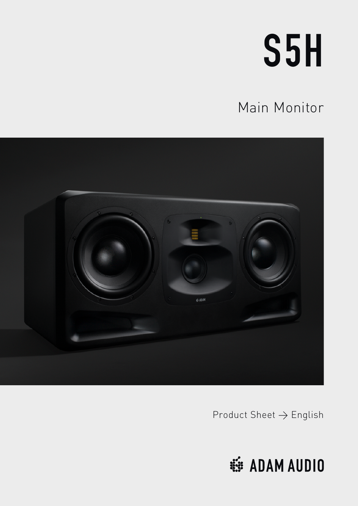# S5H

### Main Monitor



Product Sheet → English